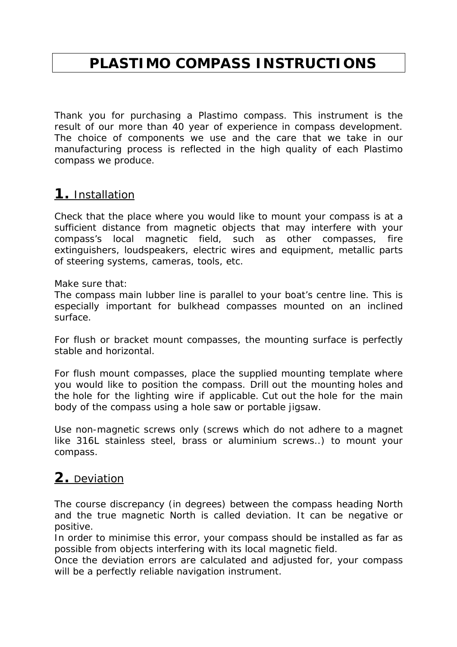# **PLASTIMO COMPASS INSTRUCTIONS**

Thank you for purchasing a Plastimo compass. This instrument is the result of our more than 40 year of experience in compass development. The choice of components we use and the care that we take in our manufacturing process is reflected in the high quality of each Plastimo compass we produce.

# **1.** Installation

Check that the place where you would like to mount your compass is at a sufficient distance from magnetic objects that may interfere with your compass's local magnetic field, such as other compasses, fire extinguishers, loudspeakers, electric wires and equipment, metallic parts of steering systems, cameras, tools, etc.

Make sure that:

The compass main lubber line is parallel to your boat's centre line. This is especially important for bulkhead compasses mounted on an inclined surface.

For flush or bracket mount compasses, the mounting surface is perfectly stable and horizontal.

For flush mount compasses, place the supplied mounting template where you would like to position the compass. Drill out the mounting holes and the hole for the lighting wire if applicable. Cut out the hole for the main body of the compass using a hole saw or portable jigsaw.

Use non-magnetic screws only (screws which do not adhere to a magnet like 316L stainless steel, brass or aluminium screws..) to mount your compass.

# **2.** Deviation

The course discrepancy (in degrees) between the compass heading North and the true magnetic North is called deviation. It can be negative or positive.

In order to minimise this error, your compass should be installed as far as possible from objects interfering with its local magnetic field.

Once the deviation errors are calculated and adjusted for, your compass will be a perfectly reliable navigation instrument.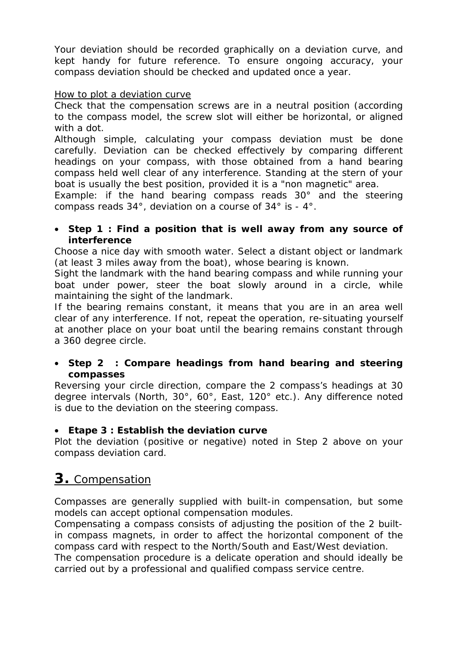Your deviation should be recorded graphically on a deviation curve, and kept handy for future reference. To ensure ongoing accuracy, your compass deviation should be checked and updated once a year.

#### How to plot a deviation curve

Check that the compensation screws are in a neutral position (according to the compass model, the screw slot will either be horizontal, or aligned with a dot.

Although simple, calculating your compass deviation must be done carefully. Deviation can be checked effectively by comparing different headings on your compass, with those obtained from a hand bearing compass held well clear of any interference. Standing at the stern of your boat is usually the best position, provided it is a "non magnetic" area.

Example: if the hand bearing compass reads 30° and the steering compass reads 34°, deviation on a course of 34° is - 4°.

#### • **Step 1 : Find a position that is well away from any source of interference**

Choose a nice day with smooth water. Select a distant object or landmark (at least 3 miles away from the boat), whose bearing is known.

Sight the landmark with the hand bearing compass and while running your boat under power, steer the boat slowly around in a circle, while maintaining the sight of the landmark.

If the bearing remains constant, it means that you are in an area well clear of any interference. If not, repeat the operation, re-situating yourself at another place on your boat until the bearing remains constant through a 360 degree circle.

#### • **Step 2 : Compare headings from hand bearing and steering compasses**

Reversing your circle direction, compare the 2 compass's headings at 30 degree intervals (North, 30°, 60°, East, 120° etc.). Any difference noted is due to the deviation on the steering compass.

#### • **Etape 3 : Establish the deviation curve**

Plot the deviation (positive or negative) noted in Step 2 above on your compass deviation card.

# **3.** Compensation

Compasses are generally supplied with built-in compensation, but some models can accept optional compensation modules.

Compensating a compass consists of adjusting the position of the 2 builtin compass magnets, in order to affect the horizontal component of the compass card with respect to the North/South and East/West deviation.

The compensation procedure is a delicate operation and should ideally be carried out by a professional and qualified compass service centre.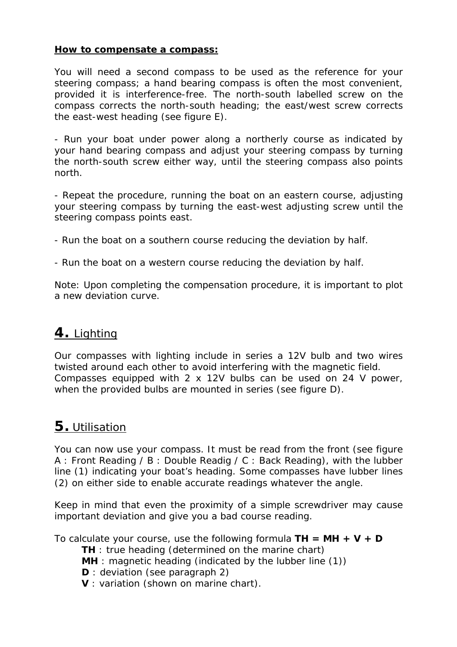#### **How to compensate a compass:**

You will need a second compass to be used as the reference for your steering compass; a hand bearing compass is often the most convenient, provided it is interference-free. The north-south labelled screw on the compass corrects the north-south heading; the east/west screw corrects the east-west heading (see figure E).

- Run your boat under power along a northerly course as indicated by your hand bearing compass and adjust your steering compass by turning the north-south screw either way, until the steering compass also points north.

- Repeat the procedure, running the boat on an eastern course, adjusting your steering compass by turning the east-west adjusting screw until the steering compass points east.

- Run the boat on a southern course reducing the deviation by half.
- Run the boat on a western course reducing the deviation by half.

Note: Upon completing the compensation procedure, it is important to plot a new deviation curve.

# **4.** Lighting

Our compasses with lighting include in series a 12V bulb and two wires twisted around each other to avoid interfering with the magnetic field. Compasses equipped with 2 x 12V bulbs can be used on 24 V power, when the provided bulbs are mounted in series (see figure D).

# **5.** Utilisation

You can now use your compass. It must be read from the front (see figure A : Front Reading / B : Double Readig / C : Back Reading), with the lubber line (1) indicating your boat's heading. Some compasses have lubber lines (2) on either side to enable accurate readings whatever the angle.

Keep in mind that even the proximity of a simple screwdriver may cause important deviation and give you a bad course reading.

To calculate your course, use the following formula **TH = MH + V + D TH** : true heading (determined on the marine chart)

**MH** : magnetic heading (indicated by the lubber line (1))

- **D** : deviation (see paragraph 2)
- **V** : variation (shown on marine chart).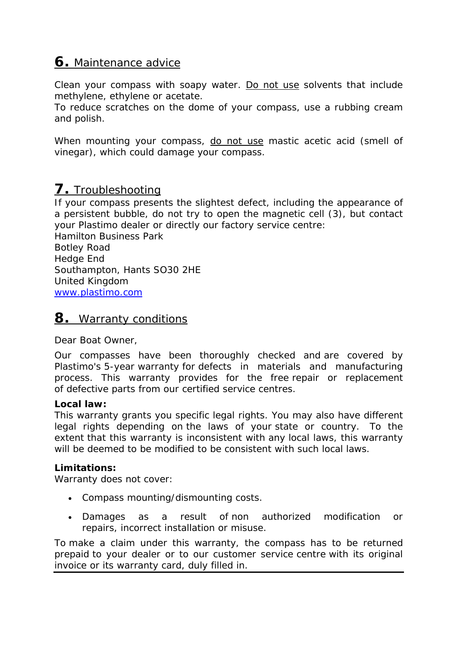# **6.** Maintenance advice

Clean your compass with soapy water. Do not use solvents that include methylene, ethylene or acetate.

To reduce scratches on the dome of your compass, use a rubbing cream and polish.

When mounting your compass, do not use mastic acetic acid (smell of vinegar), which could damage your compass.

### **7.** Troubleshooting

If your compass presents the slightest defect, including the appearance of a persistent bubble, do not try to open the magnetic cell (3), but contact your Plastimo dealer or directly our factory service centre:

Hamilton Business Park Botley Road Hedge End Southampton, Hants SO30 2HE United Kingdom www.plastimo.com

# **8.** Warranty conditions

Dear Boat Owner,

Our compasses have been thoroughly checked and are covered by Plastimo's 5-year warranty for defects in materials and manufacturing process. This warranty provides for the free repair or replacement of defective parts from our certified service centres.

#### **Local law:**

This warranty grants you specific legal rights. You may also have different legal rights depending on the laws of your state or country. To the extent that this warranty is inconsistent with any local laws, this warranty will be deemed to be modified to be consistent with such local laws.

#### **Limitations:**

Warranty does not cover:

- Compass mounting/dismounting costs.
- Damages as a result of non authorized modification or repairs, incorrect installation or misuse.

To make a claim under this warranty, the compass has to be returned prepaid to your dealer or to our customer service centre with its original invoice or its warranty card, duly filled in.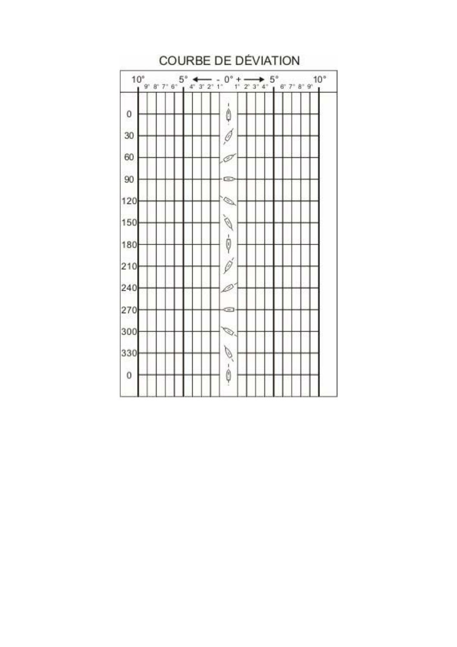